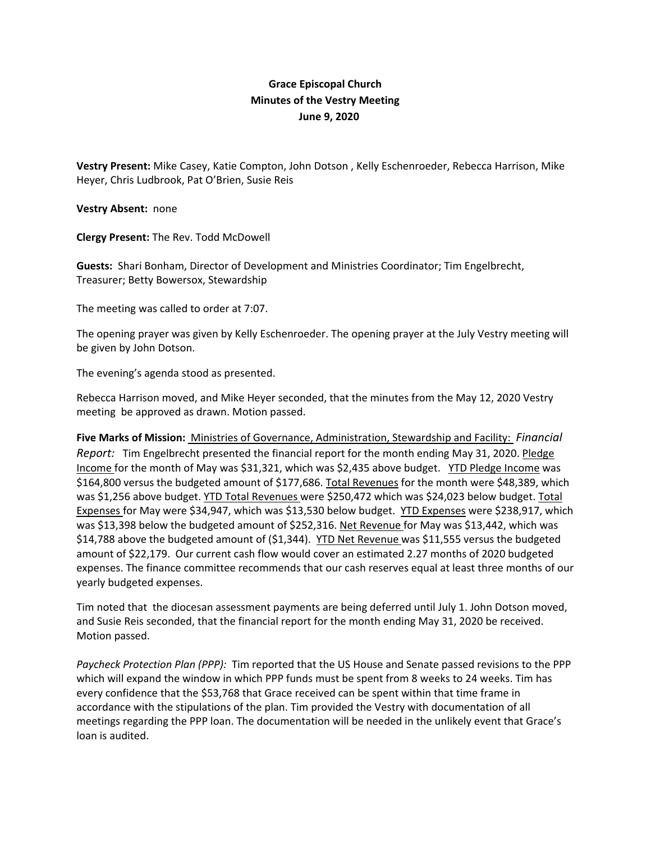## **Grace Episcopal Church Minutes of the Vestry Meeting June 9, 2020**

**Vestry Present:** Mike Casey, Katie Compton, John Dotson , Kelly Eschenroeder, Rebecca Harrison, Mike Heyer, Chris Ludbrook, Pat O'Brien, Susie Reis

**Vestry Absent:** none

**Clergy Present:** The Rev. Todd McDowell

**Guests:** Shari Bonham, Director of Development and Ministries Coordinator; Tim Engelbrecht, Treasurer; Betty Bowersox, Stewardship

The meeting was called to order at 7:07.

The opening prayer was given by Kelly Eschenroeder. The opening prayer at the July Vestry meeting will be given by John Dotson.

The evening's agenda stood as presented.

Rebecca Harrison moved, and Mike Heyer seconded, that the minutes from the May 12, 2020 Vestry meeting be approved as drawn. Motion passed.

**Five Marks of Mission:** Ministries of Governance, Administration, Stewardship and Facility: *Financial Report:* Tim Engelbrecht presented the financial report for the month ending May 31, 2020. Pledge Income for the month of May was \$31,321, which was \$2,435 above budget. YTD Pledge Income was \$164,800 versus the budgeted amount of \$177,686. Total Revenues for the month were \$48,389, which was \$1,256 above budget. YTD Total Revenues were \$250,472 which was \$24,023 below budget. Total Expenses for May were \$34,947, which was \$13,530 below budget. YTD Expenses were \$238,917, which was \$13,398 below the budgeted amount of \$252,316. Net Revenue for May was \$13,442, which was \$14,788 above the budgeted amount of (\$1,344). YTD Net Revenue was \$11,555 versus the budgeted amount of \$22,179. Our current cash flow would cover an estimated 2.27 months of 2020 budgeted expenses. The finance committee recommends that our cash reserves equal at least three months of our yearly budgeted expenses.

Tim noted that the diocesan assessment payments are being deferred until July 1. John Dotson moved, and Susie Reis seconded, that the financial report for the month ending May 31, 2020 be received. Motion passed.

*Paycheck Protection Plan (PPP):* Tim reported that the US House and Senate passed revisions to the PPP which will expand the window in which PPP funds must be spent from 8 weeks to 24 weeks. Tim has every confidence that the \$53,768 that Grace received can be spent within that time frame in accordance with the stipulations of the plan. Tim provided the Vestry with documentation of all meetings regarding the PPP loan. The documentation will be needed in the unlikely event that Grace's loan is audited.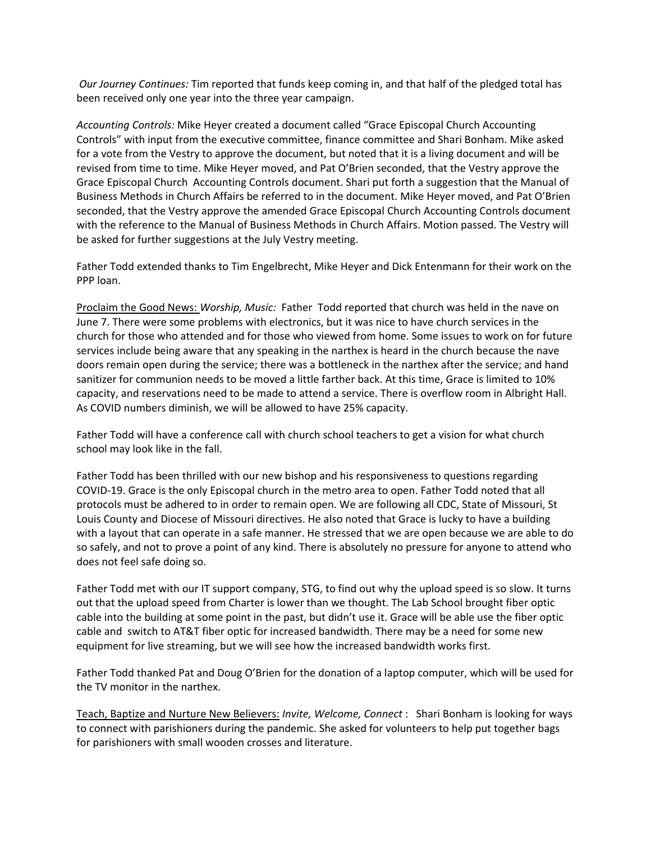*Our Journey Continues:* Tim reported that funds keep coming in, and that half of the pledged total has been received only one year into the three year campaign.

*Accounting Controls:* Mike Heyer created a document called "Grace Episcopal Church Accounting Controls" with input from the executive committee, finance committee and Shari Bonham. Mike asked for a vote from the Vestry to approve the document, but noted that it is a living document and will be revised from time to time. Mike Heyer moved, and Pat O'Brien seconded, that the Vestry approve the Grace Episcopal Church Accounting Controls document. Shari put forth a suggestion that the Manual of Business Methods in Church Affairs be referred to in the document. Mike Heyer moved, and Pat O'Brien seconded, that the Vestry approve the amended Grace Episcopal Church Accounting Controls document with the reference to the Manual of Business Methods in Church Affairs. Motion passed. The Vestry will be asked for further suggestions at the July Vestry meeting.

Father Todd extended thanks to Tim Engelbrecht, Mike Heyer and Dick Entenmann for their work on the PPP loan.

Proclaim the Good News: *Worship, Music:* Father Todd reported that church was held in the nave on June 7. There were some problems with electronics, but it was nice to have church services in the church for those who attended and for those who viewed from home. Some issues to work on for future services include being aware that any speaking in the narthex is heard in the church because the nave doors remain open during the service; there was a bottleneck in the narthex after the service; and hand sanitizer for communion needs to be moved a little farther back. At this time, Grace is limited to 10% capacity, and reservations need to be made to attend a service. There is overflow room in Albright Hall. As COVID numbers diminish, we will be allowed to have 25% capacity.

Father Todd will have a conference call with church school teachers to get a vision for what church school may look like in the fall.

Father Todd has been thrilled with our new bishop and his responsiveness to questions regarding COVID‐19. Grace is the only Episcopal church in the metro area to open. Father Todd noted that all protocols must be adhered to in order to remain open. We are following all CDC, State of Missouri, St Louis County and Diocese of Missouri directives. He also noted that Grace is lucky to have a building with a layout that can operate in a safe manner. He stressed that we are open because we are able to do so safely, and not to prove a point of any kind. There is absolutely no pressure for anyone to attend who does not feel safe doing so.

Father Todd met with our IT support company, STG, to find out why the upload speed is so slow. It turns out that the upload speed from Charter is lower than we thought. The Lab School brought fiber optic cable into the building at some point in the past, but didn't use it. Grace will be able use the fiber optic cable and switch to AT&T fiber optic for increased bandwidth. There may be a need for some new equipment for live streaming, but we will see how the increased bandwidth works first.

Father Todd thanked Pat and Doug O'Brien for the donation of a laptop computer, which will be used for the TV monitor in the narthex.

Teach, Baptize and Nurture New Believers: *Invite, Welcome, Connect* : Shari Bonham is looking for ways to connect with parishioners during the pandemic. She asked for volunteers to help put together bags for parishioners with small wooden crosses and literature.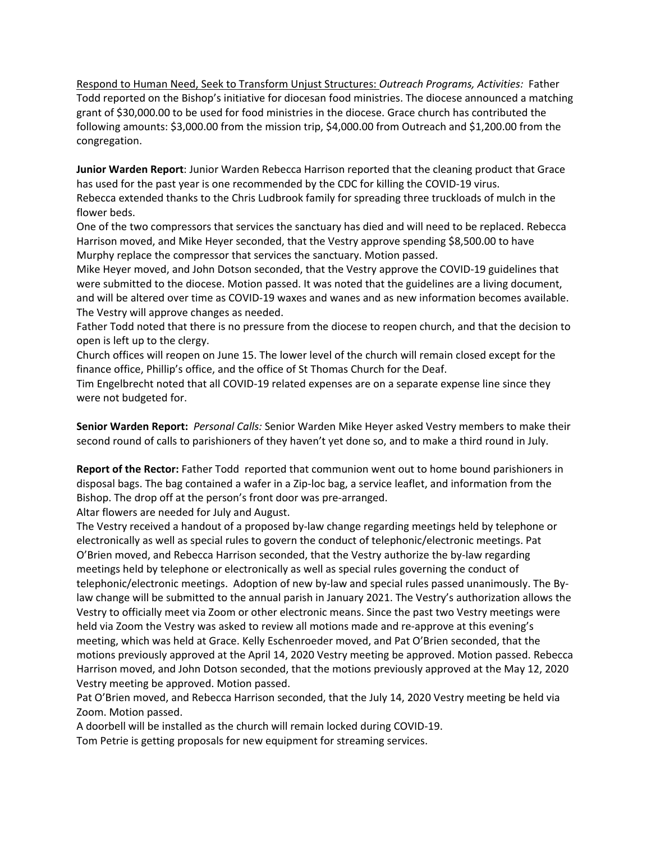Respond to Human Need, Seek to Transform Unjust Structures: *Outreach Programs, Activities:* Father Todd reported on the Bishop's initiative for diocesan food ministries. The diocese announced a matching grant of \$30,000.00 to be used for food ministries in the diocese. Grace church has contributed the following amounts: \$3,000.00 from the mission trip, \$4,000.00 from Outreach and \$1,200.00 from the congregation.

**Junior Warden Report**: Junior Warden Rebecca Harrison reported that the cleaning product that Grace has used for the past year is one recommended by the CDC for killing the COVID‐19 virus. Rebecca extended thanks to the Chris Ludbrook family for spreading three truckloads of mulch in the flower beds.

One of the two compressors that services the sanctuary has died and will need to be replaced. Rebecca Harrison moved, and Mike Heyer seconded, that the Vestry approve spending \$8,500.00 to have Murphy replace the compressor that services the sanctuary. Motion passed.

Mike Heyer moved, and John Dotson seconded, that the Vestry approve the COVID‐19 guidelines that were submitted to the diocese. Motion passed. It was noted that the guidelines are a living document, and will be altered over time as COVID‐19 waxes and wanes and as new information becomes available. The Vestry will approve changes as needed.

Father Todd noted that there is no pressure from the diocese to reopen church, and that the decision to open is left up to the clergy.

Church offices will reopen on June 15. The lower level of the church will remain closed except for the finance office, Phillip's office, and the office of St Thomas Church for the Deaf.

Tim Engelbrecht noted that all COVID‐19 related expenses are on a separate expense line since they were not budgeted for.

**Senior Warden Report:** *Personal Calls:* Senior Warden Mike Heyer asked Vestry members to make their second round of calls to parishioners of they haven't yet done so, and to make a third round in July.

**Report of the Rector:** Father Todd reported that communion went out to home bound parishioners in disposal bags. The bag contained a wafer in a Zip‐loc bag, a service leaflet, and information from the Bishop. The drop off at the person's front door was pre‐arranged.

Altar flowers are needed for July and August.

The Vestry received a handout of a proposed by‐law change regarding meetings held by telephone or electronically as well as special rules to govern the conduct of telephonic/electronic meetings. Pat O'Brien moved, and Rebecca Harrison seconded, that the Vestry authorize the by‐law regarding meetings held by telephone or electronically as well as special rules governing the conduct of telephonic/electronic meetings. Adoption of new by-law and special rules passed unanimously. The Bylaw change will be submitted to the annual parish in January 2021. The Vestry's authorization allows the Vestry to officially meet via Zoom or other electronic means. Since the past two Vestry meetings were held via Zoom the Vestry was asked to review all motions made and re-approve at this evening's meeting, which was held at Grace. Kelly Eschenroeder moved, and Pat O'Brien seconded, that the motions previously approved at the April 14, 2020 Vestry meeting be approved. Motion passed. Rebecca Harrison moved, and John Dotson seconded, that the motions previously approved at the May 12, 2020 Vestry meeting be approved. Motion passed.

Pat O'Brien moved, and Rebecca Harrison seconded, that the July 14, 2020 Vestry meeting be held via Zoom. Motion passed.

A doorbell will be installed as the church will remain locked during COVID‐19.

Tom Petrie is getting proposals for new equipment for streaming services.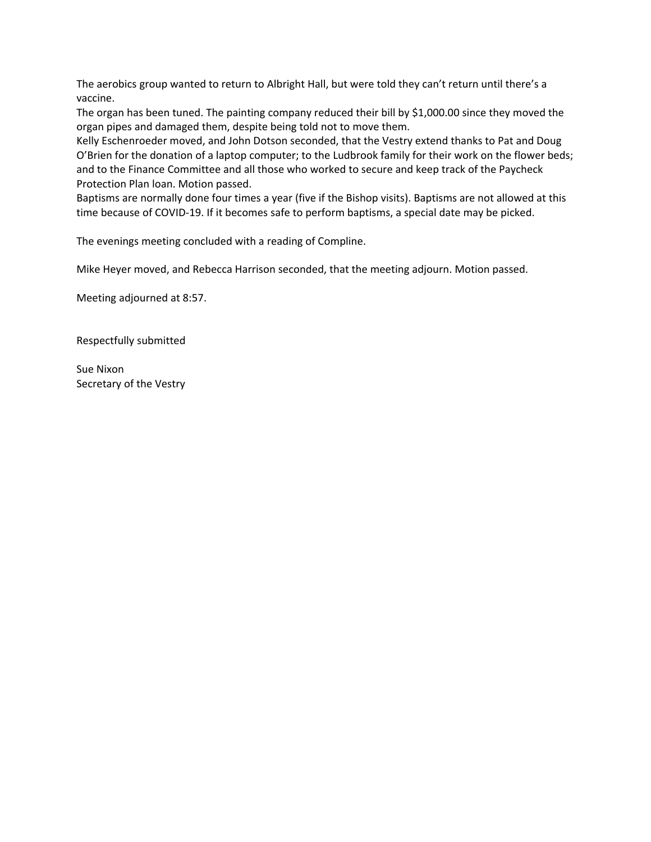The aerobics group wanted to return to Albright Hall, but were told they can't return until there's a vaccine.

The organ has been tuned. The painting company reduced their bill by \$1,000.00 since they moved the organ pipes and damaged them, despite being told not to move them.

Kelly Eschenroeder moved, and John Dotson seconded, that the Vestry extend thanks to Pat and Doug O'Brien for the donation of a laptop computer; to the Ludbrook family for their work on the flower beds; and to the Finance Committee and all those who worked to secure and keep track of the Paycheck Protection Plan loan. Motion passed.

Baptisms are normally done four times a year (five if the Bishop visits). Baptisms are not allowed at this time because of COVID‐19. If it becomes safe to perform baptisms, a special date may be picked.

The evenings meeting concluded with a reading of Compline.

Mike Heyer moved, and Rebecca Harrison seconded, that the meeting adjourn. Motion passed.

Meeting adjourned at 8:57.

Respectfully submitted

Sue Nixon Secretary of the Vestry